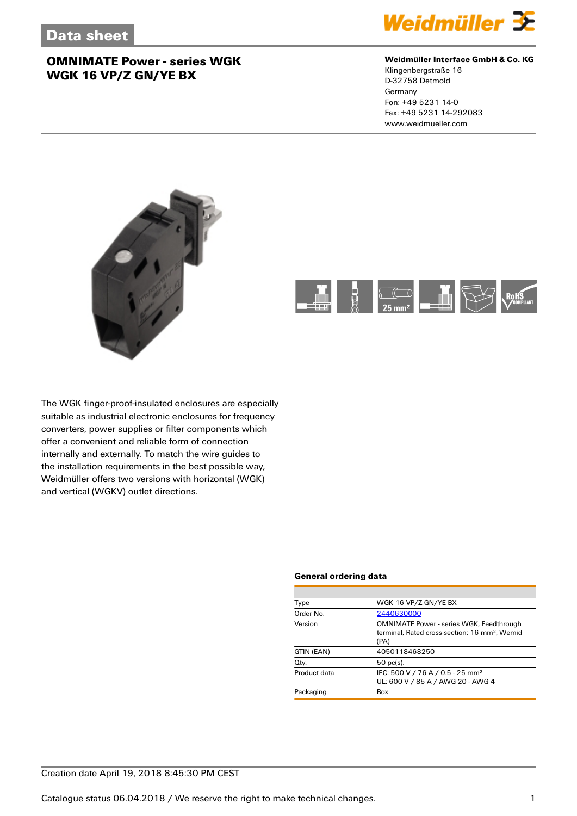

### **Weidmüller Interface GmbH & Co. KG**

Klingenbergstraße 16 D-32758 Detmold Germany Fon: +49 5231 14-0 Fax: +49 5231 14-292083 www.weidmueller.com





The WGK finger-proof-insulated enclosures are especially suitable as industrial electronic enclosures for frequency converters, power supplies or filter components which offer a convenient and reliable form of connection internally and externally. To match the wire guides to the installation requirements in the best possible way, Weidmüller offers two versions with horizontal (WGK) and vertical (WGKV) outlet directions.

#### **General ordering data**

| Type         | WGK 16 VP/Z GN/YE BX                                                                                                 |
|--------------|----------------------------------------------------------------------------------------------------------------------|
| Order No.    | 2440630000                                                                                                           |
| Version      | <b>OMNIMATE Power - series WGK, Feedthrough</b><br>terminal. Rated cross-section: 16 mm <sup>2</sup> . Wemid<br>(PA) |
| GTIN (EAN)   | 4050118468250                                                                                                        |
| Qty.         | $50$ pc(s).                                                                                                          |
| Product data | IEC: 500 V / 76 A / 0.5 - 25 mm <sup>2</sup><br>UL: 600 V / 85 A / AWG 20 - AWG 4                                    |
| Packaging    | Box                                                                                                                  |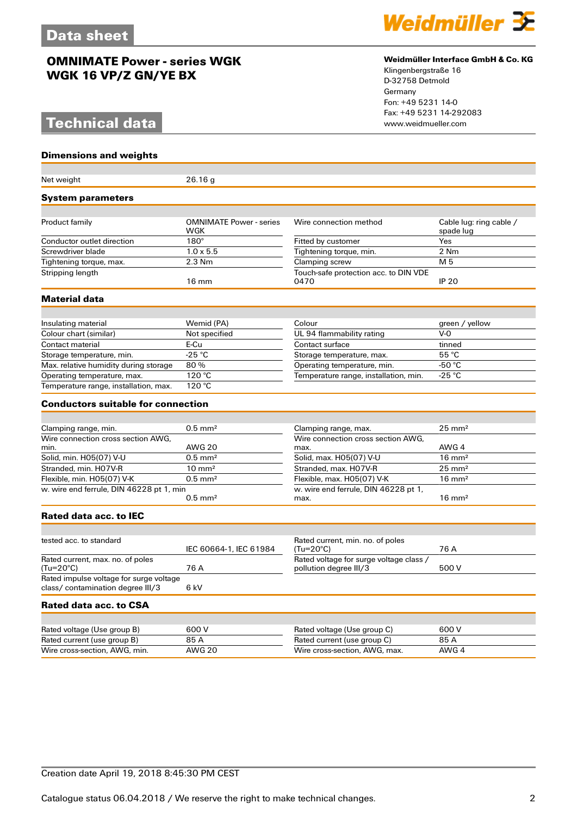# **Technical data**

### **Dimensions and weights**

| Net weight                                                                   | 26.16g                         |                                                                   |                         |  |
|------------------------------------------------------------------------------|--------------------------------|-------------------------------------------------------------------|-------------------------|--|
| <b>System parameters</b>                                                     |                                |                                                                   |                         |  |
| Product family                                                               | <b>OMNIMATE Power - series</b> | Wire connection method                                            | Cable lug: ring cable / |  |
|                                                                              | WGK                            |                                                                   | spade lug               |  |
| Conductor outlet direction                                                   | $180^\circ$                    | Fitted by customer                                                | Yes                     |  |
| Screwdriver blade                                                            | $1.0 \times 5.5$               | Tightening torque, min.                                           | 2 Nm                    |  |
| Tightening torque, max.                                                      | 2.3 Nm                         | Clamping screw                                                    | M 5                     |  |
| Stripping length                                                             | $16 \text{ mm}$                | Touch-safe protection acc. to DIN VDE<br>0470                     | <b>IP 20</b>            |  |
| Material data                                                                |                                |                                                                   |                         |  |
|                                                                              |                                |                                                                   |                         |  |
| Insulating material                                                          | Wemid (PA)                     | Colour                                                            | green / yellow          |  |
| Colour chart (similar)                                                       | Not specified                  | UL 94 flammability rating                                         | $V-0$                   |  |
| Contact material                                                             | E-Cu                           | Contact surface                                                   | tinned                  |  |
| Storage temperature, min.                                                    | $-25 °C$                       | Storage temperature, max.                                         | 55 °C                   |  |
| Max. relative humidity during storage                                        | 80%                            | Operating temperature, min.                                       | -50 $^{\circ}$ C        |  |
| Operating temperature, max.                                                  | 120 °C                         | Temperature range, installation, min.                             | $-25 °C$                |  |
| Temperature range, installation, max.                                        | 120 °C                         |                                                                   |                         |  |
| <b>Conductors suitable for connection</b>                                    |                                |                                                                   |                         |  |
|                                                                              |                                |                                                                   |                         |  |
| Clamping range, min.                                                         | $0.5$ mm <sup>2</sup>          | Clamping range, max.                                              | $25 \text{ mm}^2$       |  |
| Wire connection cross section AWG,                                           |                                | Wire connection cross section AWG,                                |                         |  |
| min.                                                                         | <b>AWG 20</b>                  | max.                                                              | AWG 4                   |  |
| Solid, min. H05(07) V-U                                                      | $0.5$ mm <sup>2</sup>          | Solid, max. H05(07) V-U                                           | $16 \text{ mm}^2$       |  |
| Stranded, min. H07V-R                                                        | $10 \text{ mm}^2$              | Stranded, max. H07V-R                                             | $25 \text{ mm}^2$       |  |
| Flexible, min. H05(07) V-K                                                   | $0.5$ mm <sup>2</sup>          | Flexible, max. H05(07) V-K                                        | $16 \text{ mm}^2$       |  |
| w. wire end ferrule, DIN 46228 pt 1, min                                     | $0.5$ mm <sup>2</sup>          | w. wire end ferrule, DIN 46228 pt 1,<br>max.                      | $16 \text{ mm}^2$       |  |
| <b>Rated data acc. to IEC</b>                                                |                                |                                                                   |                         |  |
|                                                                              |                                |                                                                   |                         |  |
| tested acc. to standard                                                      | IEC 60664-1, IEC 61984         | Rated current, min. no. of poles<br>(Tu=20°C)                     | 76 A                    |  |
| Rated current, max. no. of poles<br>(Tu=20°C)                                | 76 A                           | Rated voltage for surge voltage class /<br>pollution degree III/3 | 500 V                   |  |
| Rated impulse voltage for surge voltage<br>class/ contamination degree III/3 | 6 kV                           |                                                                   |                         |  |
| Rated data acc. to CSA                                                       |                                |                                                                   |                         |  |
|                                                                              |                                |                                                                   |                         |  |
| Rated voltage (Use group B)                                                  | 600V                           | Rated voltage (Use group C)                                       | 600 V                   |  |
| Rated current (use group B)                                                  | 85 A                           | Rated current (use group C)                                       | 85 A                    |  |
| Wire cross-section, AWG, min.                                                | <b>AWG 20</b>                  | Wire cross-section, AWG, max.                                     | AWG 4                   |  |



### **Weidmüller Interface GmbH & Co. KG**

Klingenbergstraße 16 D-32758 Detmold Germany Fon: +49 5231 14-0 Fax: +49 5231 14-292083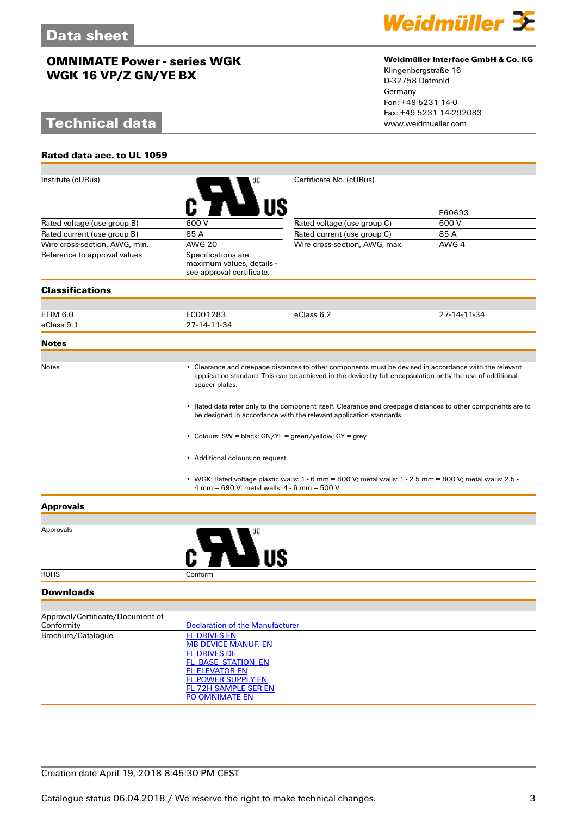# **Technical data**

**Rated data acc. to UL 1059**



## **Weidmüller Interface GmbH & Co. KG**

Klingenbergstraße 16 D-32758 Detmold Germany Fon: +49 5231 14-0 Fax: +49 5231 14-292083

| Institute (cURus)                              |                                                                                                                                                                                                                                                                                 | Certificate No. (cURus)                                                                                   |             |  |  |
|------------------------------------------------|---------------------------------------------------------------------------------------------------------------------------------------------------------------------------------------------------------------------------------------------------------------------------------|-----------------------------------------------------------------------------------------------------------|-------------|--|--|
|                                                |                                                                                                                                                                                                                                                                                 |                                                                                                           | E60693      |  |  |
| Rated voltage (use group B)                    | 600V                                                                                                                                                                                                                                                                            | Rated voltage (use group C)                                                                               | 600 V       |  |  |
| Rated current (use group B)                    | 85 A                                                                                                                                                                                                                                                                            | Rated current (use group C)                                                                               | 85 A        |  |  |
| Wire cross-section, AWG, min.                  | <b>AWG 20</b>                                                                                                                                                                                                                                                                   | Wire cross-section, AWG, max.                                                                             | AWG 4       |  |  |
| Reference to approval values                   | Specifications are<br>maximum values, details -<br>see approval certificate.                                                                                                                                                                                                    |                                                                                                           |             |  |  |
| <b>Classifications</b>                         |                                                                                                                                                                                                                                                                                 |                                                                                                           |             |  |  |
|                                                |                                                                                                                                                                                                                                                                                 |                                                                                                           |             |  |  |
| ETIM 6.0                                       | EC001283                                                                                                                                                                                                                                                                        | eClass 6.2                                                                                                | 27-14-11-34 |  |  |
| eClass 9.1                                     | 27-14-11-34                                                                                                                                                                                                                                                                     |                                                                                                           |             |  |  |
| <b>Notes</b>                                   |                                                                                                                                                                                                                                                                                 |                                                                                                           |             |  |  |
| <b>Notes</b>                                   | • Clearance and creepage distances to other components must be devised in accordance with the relevant<br>application standard. This can be achieved in the device by full encapsulation or by the use of additional<br>spacer plates.                                          |                                                                                                           |             |  |  |
|                                                | • Rated data refer only to the component itself. Clearance and creepage distances to other components are to<br>be designed in accordance with the relevant application standards.<br>• Colours: SW = black; GN/YL = green/yellow; GY = grey<br>• Additional colours on request |                                                                                                           |             |  |  |
|                                                |                                                                                                                                                                                                                                                                                 |                                                                                                           |             |  |  |
|                                                |                                                                                                                                                                                                                                                                                 |                                                                                                           |             |  |  |
|                                                | 4 mm = 690 V; metal walls: 4 - 6 mm = 500 V                                                                                                                                                                                                                                     | • WGK: Rated voltage plastic walls: 1 - 6 mm = 800 V; metal walls: 1 - 2.5 mm = 800 V; metal walls: 2.5 - |             |  |  |
| <b>Approvals</b>                               |                                                                                                                                                                                                                                                                                 |                                                                                                           |             |  |  |
|                                                |                                                                                                                                                                                                                                                                                 |                                                                                                           |             |  |  |
| Approvals                                      |                                                                                                                                                                                                                                                                                 |                                                                                                           |             |  |  |
| <b>ROHS</b>                                    | Conform                                                                                                                                                                                                                                                                         |                                                                                                           |             |  |  |
| <b>Downloads</b>                               |                                                                                                                                                                                                                                                                                 |                                                                                                           |             |  |  |
|                                                |                                                                                                                                                                                                                                                                                 |                                                                                                           |             |  |  |
| Approval/Certificate/Document of<br>Conformity | <b>Declaration of the Manufacturer</b>                                                                                                                                                                                                                                          |                                                                                                           |             |  |  |
| Brochure/Catalogue                             | <b>FL DRIVES EN</b>                                                                                                                                                                                                                                                             |                                                                                                           |             |  |  |
|                                                | <b>MB DEVICE MANUF. EN</b>                                                                                                                                                                                                                                                      |                                                                                                           |             |  |  |
|                                                | <b>FL DRIVES DE</b>                                                                                                                                                                                                                                                             |                                                                                                           |             |  |  |
|                                                | <b>FL_BASE_STATION_EN</b><br><b>FL ELEVATOR EN</b>                                                                                                                                                                                                                              |                                                                                                           |             |  |  |
|                                                | <b>FL POWER SUPPLY EN</b>                                                                                                                                                                                                                                                       |                                                                                                           |             |  |  |
|                                                | <b>FL 72H SAMPLE SER EN</b>                                                                                                                                                                                                                                                     |                                                                                                           |             |  |  |
|                                                | PO OMNIMATE EN                                                                                                                                                                                                                                                                  |                                                                                                           |             |  |  |

## Creation date April 19, 2018 8:45:30 PM CEST

Catalogue status 06.04.2018 / We reserve the right to make technical changes. 33